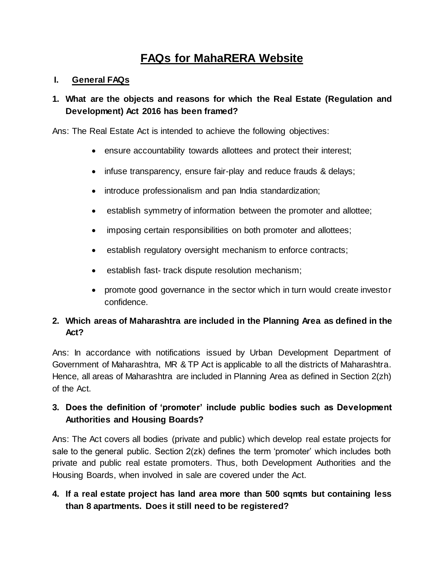# **FAQs for MahaRERA Website**

#### **I. General FAQs**

### **1. What are the objects and reasons for which the Real Estate (Regulation and Development) Act 2016 has been framed?**

Ans: The Real Estate Act is intended to achieve the following objectives:

- ensure accountability towards allottees and protect their interest;
- infuse transparency, ensure fair-play and reduce frauds & delays;
- introduce professionalism and pan India standardization;
- establish symmetry of information between the promoter and allottee;
- imposing certain responsibilities on both promoter and allottees;
- establish regulatory oversight mechanism to enforce contracts;
- establish fast- track dispute resolution mechanism;
- promote good governance in the sector which in turn would create investor confidence.

### **2. Which areas of Maharashtra are included in the Planning Area as defined in the Act?**

Ans: In accordance with notifications issued by Urban Development Department of Government of Maharashtra, MR & TP Act is applicable to all the districts of Maharashtra. Hence, all areas of Maharashtra are included in Planning Area as defined in Section 2(zh) of the Act.

### **3. Does the definition of 'promoter' include public bodies such as Development Authorities and Housing Boards?**

Ans: The Act covers all bodies (private and public) which develop real estate projects for sale to the general public. Section 2(zk) defines the term 'promoter' which includes both private and public real estate promoters. Thus, both Development Authorities and the Housing Boards, when involved in sale are covered under the Act.

### **4. If a real estate project has land area more than 500 sqmts but containing less than 8 apartments. Does it still need to be registered?**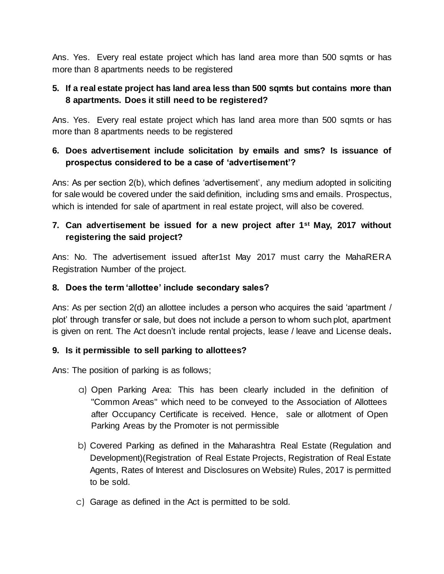Ans. Yes. Every real estate project which has land area more than 500 sqmts or has more than 8 apartments needs to be registered

### **5. If a real estate project has land area less than 500 sqmts but contains more than 8 apartments. Does it still need to be registered?**

Ans. Yes. Every real estate project which has land area more than 500 sqmts or has more than 8 apartments needs to be registered

### **6. Does advertisement include solicitation by emails and sms? Is issuance of prospectus considered to be a case of 'advertisement'?**

Ans: As per section 2(b), which defines 'advertisement', any medium adopted in soliciting for sale would be covered under the said definition, including sms and emails. Prospectus, which is intended for sale of apartment in real estate project, will also be covered.

## **7. Can advertisement be issued for a new project after 1st May, 2017 without registering the said project?**

Ans: No. The advertisement issued after1st May 2017 must carry the MahaRERA Registration Number of the project.

### **8. Does the term 'allottee' include secondary sales?**

Ans: As per section 2(d) an allottee includes a person who acquires the said 'apartment / plot' through transfer or sale, but does not include a person to whom such plot, apartment is given on rent. The Act doesn't include rental projects, lease / leave and License deals**.**

### **9. Is it permissible to sell parking to allottees?**

Ans: The position of parking is as follows;

- a) Open Parking Area: This has been clearly included in the definition of "Common Areas" which need to be conveyed to the Association of Allottees after Occupancy Certificate is received. Hence, sale or allotment of Open Parking Areas by the Promoter is not permissible
- b) Covered Parking as defined in the Maharashtra Real Estate (Regulation and Development)(Registration of Real Estate Projects, Registration of Real Estate Agents, Rates of Interest and Disclosures on Website) Rules, 2017 is permitted to be sold.
- c) Garage as defined in the Act is permitted to be sold.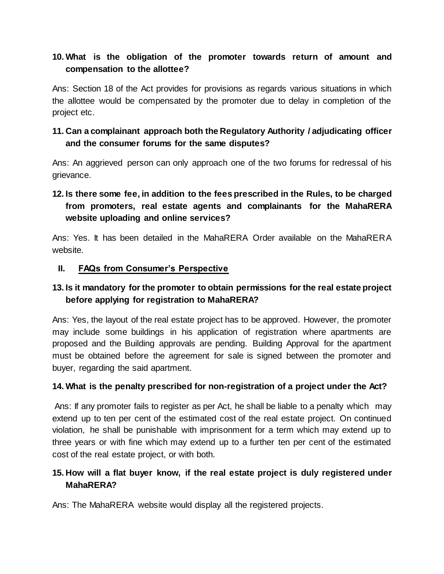### **10. What is the obligation of the promoter towards return of amount and compensation to the allottee?**

Ans: Section 18 of the Act provides for provisions as regards various situations in which the allottee would be compensated by the promoter due to delay in completion of the project etc.

### **11. Can a complainant approach both the Regulatory Authority / adjudicating officer and the consumer forums for the same disputes?**

Ans: An aggrieved person can only approach one of the two forums for redressal of his grievance.

## **12. Is there some fee, in addition to the fees prescribed in the Rules, to be charged from promoters, real estate agents and complainants for the MahaRERA website uploading and online services?**

Ans: Yes. It has been detailed in the MahaRERA Order available on the MahaRERA website.

### **II. FAQs from Consumer's Perspective**

### **13. Is it mandatory for the promoter to obtain permissions for the real estate project before applying for registration to MahaRERA?**

Ans: Yes, the layout of the real estate project has to be approved. However, the promoter may include some buildings in his application of registration where apartments are proposed and the Building approvals are pending. Building Approval for the apartment must be obtained before the agreement for sale is signed between the promoter and buyer, regarding the said apartment.

### **14. What is the penalty prescribed for non-registration of a project under the Act?**

Ans: If any promoter fails to register as per Act, he shall be liable to a penalty which may extend up to ten per cent of the estimated cost of the real estate project. On continued violation, he shall be punishable with imprisonment for a term which may extend up to three years or with fine which may extend up to a further ten per cent of the estimated cost of the real estate project, or with both.

### **15. How will a flat buyer know, if the real estate project is duly registered under MahaRERA?**

Ans: The MahaRERA website would display all the registered projects.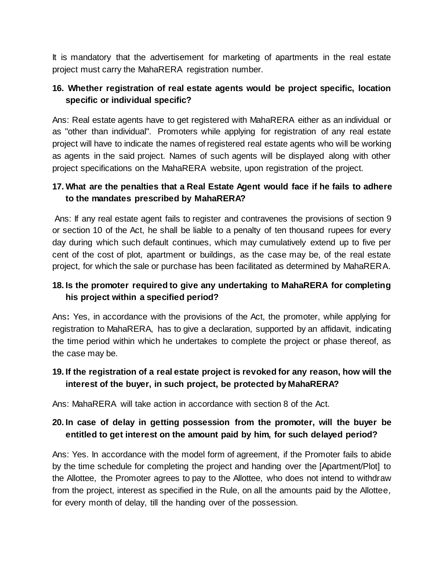It is mandatory that the advertisement for marketing of apartments in the real estate project must carry the MahaRERA registration number.

### **16. Whether registration of real estate agents would be project specific, location specific or individual specific?**

Ans: Real estate agents have to get registered with MahaRERA either as an individual or as "other than individual". Promoters while applying for registration of any real estate project will have to indicate the names of registered real estate agents who will be working as agents in the said project. Names of such agents will be displayed along with other project specifications on the MahaRERA website, upon registration of the project.

### **17. What are the penalties that a Real Estate Agent would face if he fails to adhere to the mandates prescribed by MahaRERA?**

Ans: If any real estate agent fails to register and contravenes the provisions of section 9 or section 10 of the Act, he shall be liable to a penalty of ten thousand rupees for every day during which such default continues, which may cumulatively extend up to five per cent of the cost of plot, apartment or buildings, as the case may be, of the real estate project, for which the sale or purchase has been facilitated as determined by MahaRERA.

### **18. Is the promoter required to give any undertaking to MahaRERA for completing his project within a specified period?**

Ans**:** Yes, in accordance with the provisions of the Act, the promoter, while applying for registration to MahaRERA, has to give a declaration, supported by an affidavit, indicating the time period within which he undertakes to complete the project or phase thereof, as the case may be.

### **19. If the registration of a real estate project is revoked for any reason, how will the interest of the buyer, in such project, be protected by MahaRERA?**

Ans: MahaRERA will take action in accordance with section 8 of the Act.

### **20. In case of delay in getting possession from the promoter, will the buyer be entitled to get interest on the amount paid by him, for such delayed period?**

Ans: Yes. In accordance with the model form of agreement, if the Promoter fails to abide by the time schedule for completing the project and handing over the [Apartment/Plot] to the Allottee, the Promoter agrees to pay to the Allottee, who does not intend to withdraw from the project, interest as specified in the Rule, on all the amounts paid by the Allottee, for every month of delay, till the handing over of the possession.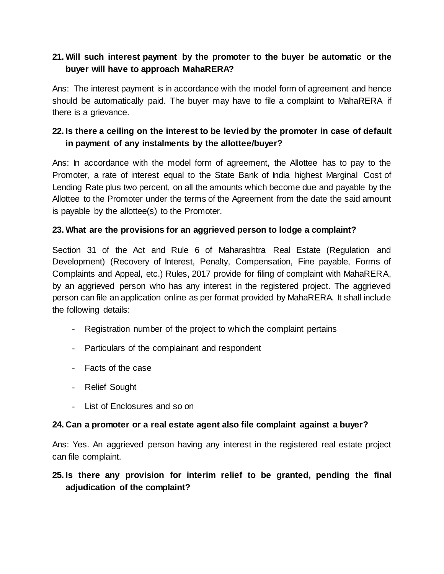### **21. Will such interest payment by the promoter to the buyer be automatic or the buyer will have to approach MahaRERA?**

Ans: The interest payment is in accordance with the model form of agreement and hence should be automatically paid. The buyer may have to file a complaint to MahaRERA if there is a grievance.

### **22. Is there a ceiling on the interest to be levied by the promoter in case of default in payment of any instalments by the allottee/buyer?**

Ans: In accordance with the model form of agreement, the Allottee has to pay to the Promoter, a rate of interest equal to the State Bank of India highest Marginal Cost of Lending Rate plus two percent, on all the amounts which become due and payable by the Allottee to the Promoter under the terms of the Agreement from the date the said amount is payable by the allottee(s) to the Promoter.

### **23. What are the provisions for an aggrieved person to lodge a complaint?**

Section 31 of the Act and Rule 6 of Maharashtra Real Estate (Regulation and Development) (Recovery of Interest, Penalty, Compensation, Fine payable, Forms of Complaints and Appeal, etc.) Rules, 2017 provide for filing of complaint with MahaRERA, by an aggrieved person who has any interest in the registered project. The aggrieved person can file an application online as per format provided by MahaRERA. It shall include the following details:

- Registration number of the project to which the complaint pertains
- Particulars of the complainant and respondent
- Facts of the case
- Relief Sought
- List of Enclosures and so on

### **24. Can a promoter or a real estate agent also file complaint against a buyer?**

Ans: Yes. An aggrieved person having any interest in the registered real estate project can file complaint.

### **25. Is there any provision for interim relief to be granted, pending the final adjudication of the complaint?**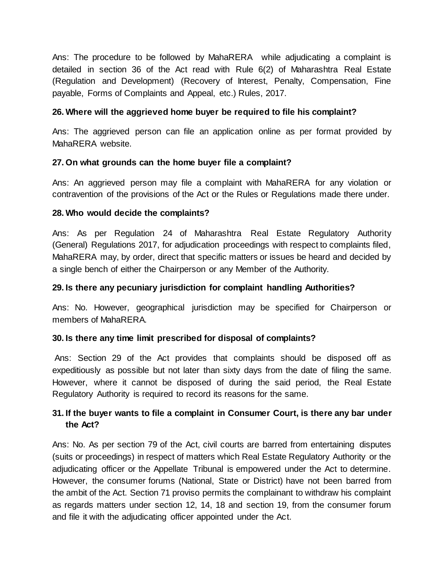Ans: The procedure to be followed by MahaRERA while adjudicating a complaint is detailed in section 36 of the Act read with Rule 6(2) of Maharashtra Real Estate (Regulation and Development) (Recovery of Interest, Penalty, Compensation, Fine payable, Forms of Complaints and Appeal, etc.) Rules, 2017.

#### **26. Where will the aggrieved home buyer be required to file his complaint?**

Ans: The aggrieved person can file an application online as per format provided by MahaRERA website.

#### **27. On what grounds can the home buyer file a complaint?**

Ans: An aggrieved person may file a complaint with MahaRERA for any violation or contravention of the provisions of the Act or the Rules or Regulations made there under.

#### **28. Who would decide the complaints?**

Ans: As per Regulation 24 of Maharashtra Real Estate Regulatory Authority (General) Regulations 2017, for adjudication proceedings with respect to complaints filed, MahaRERA may, by order, direct that specific matters or issues be heard and decided by a single bench of either the Chairperson or any Member of the Authority.

#### **29. Is there any pecuniary jurisdiction for complaint handling Authorities?**

Ans: No. However, geographical jurisdiction may be specified for Chairperson or members of MahaRERA.

#### **30. Is there any time limit prescribed for disposal of complaints?**

Ans: Section 29 of the Act provides that complaints should be disposed off as expeditiously as possible but not later than sixty days from the date of filing the same. However, where it cannot be disposed of during the said period, the Real Estate Regulatory Authority is required to record its reasons for the same.

### **31. If the buyer wants to file a complaint in Consumer Court, is there any bar under the Act?**

Ans: No. As per section 79 of the Act, civil courts are barred from entertaining disputes (suits or proceedings) in respect of matters which Real Estate Regulatory Authority or the adjudicating officer or the Appellate Tribunal is empowered under the Act to determine. However, the consumer forums (National, State or District) have not been barred from the ambit of the Act. Section 71 proviso permits the complainant to withdraw his complaint as regards matters under section 12, 14, 18 and section 19, from the consumer forum and file it with the adjudicating officer appointed under the Act.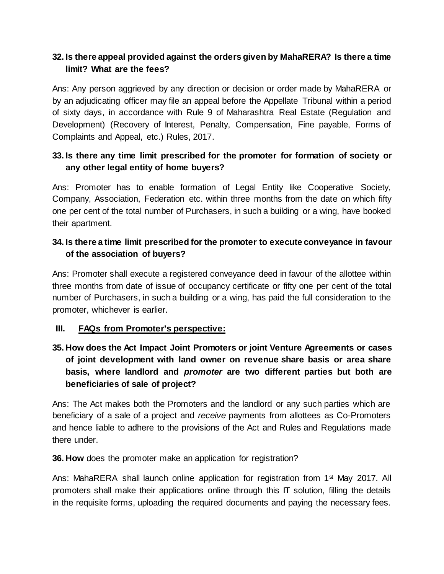### **32. Is there appeal provided against the orders given by MahaRERA? Is there a time limit? What are the fees?**

Ans: Any person aggrieved by any direction or decision or order made by MahaRERA or by an adjudicating officer may file an appeal before the Appellate Tribunal within a period of sixty days, in accordance with Rule 9 of Maharashtra Real Estate (Regulation and Development) (Recovery of Interest, Penalty, Compensation, Fine payable, Forms of Complaints and Appeal, etc.) Rules, 2017.

## **33. Is there any time limit prescribed for the promoter for formation of society or any other legal entity of home buyers?**

Ans: Promoter has to enable formation of Legal Entity like Cooperative Society, Company, Association, Federation etc. within three months from the date on which fifty one per cent of the total number of Purchasers, in such a building or a wing, have booked their apartment.

### **34. Is there a time limit prescribed for the promoter to execute conveyance in favour of the association of buyers?**

Ans: Promoter shall execute a registered conveyance deed in favour of the allottee within three months from date of issue of occupancy certificate or fifty one per cent of the total number of Purchasers, in such a building or a wing, has paid the full consideration to the promoter, whichever is earlier.

### **III. FAQs from Promoter's perspective:**

## **35. How does the Act Impact Joint Promoters or joint Venture Agreements or cases of joint development with land owner on revenue share basis or area share basis, where landlord and** *promoter* **are two different parties but both are beneficiaries of sale of project?**

Ans: The Act makes both the Promoters and the landlord or any such parties which are beneficiary of a sale of a project and *receive* payments from allottees as Co-Promoters and hence liable to adhere to the provisions of the Act and Rules and Regulations made there under.

**36. How** does the promoter make an application for registration?

Ans: MahaRERA shall launch online application for registration from  $1<sup>st</sup>$  May 2017. All promoters shall make their applications online through this IT solution, filling the details in the requisite forms, uploading the required documents and paying the necessary fees.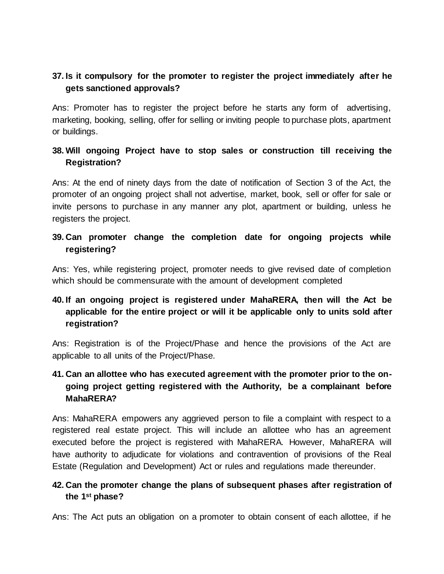## **37. Is it compulsory for the promoter to register the project immediately after he gets sanctioned approvals?**

Ans: Promoter has to register the project before he starts any form of advertising, marketing, booking, selling, offer for selling or inviting people to purchase plots, apartment or buildings.

### **38. Will ongoing Project have to stop sales or construction till receiving the Registration?**

Ans: At the end of ninety days from the date of notification of Section 3 of the Act, the promoter of an ongoing project shall not advertise, market, book, sell or offer for sale or invite persons to purchase in any manner any plot, apartment or building, unless he registers the project.

### **39. Can promoter change the completion date for ongoing projects while registering?**

Ans: Yes, while registering project, promoter needs to give revised date of completion which should be commensurate with the amount of development completed

## **40. If an ongoing project is registered under MahaRERA, then will the Act be applicable for the entire project or will it be applicable only to units sold after registration?**

Ans: Registration is of the Project/Phase and hence the provisions of the Act are applicable to all units of the Project/Phase.

## **41. Can an allottee who has executed agreement with the promoter prior to the ongoing project getting registered with the Authority, be a complainant before MahaRERA?**

Ans: MahaRERA empowers any aggrieved person to file a complaint with respect to a registered real estate project. This will include an allottee who has an agreement executed before the project is registered with MahaRERA. However, MahaRERA will have authority to adjudicate for violations and contravention of provisions of the Real Estate (Regulation and Development) Act or rules and regulations made thereunder.

### **42. Can the promoter change the plans of subsequent phases after registration of the 1st phase?**

Ans: The Act puts an obligation on a promoter to obtain consent of each allottee, if he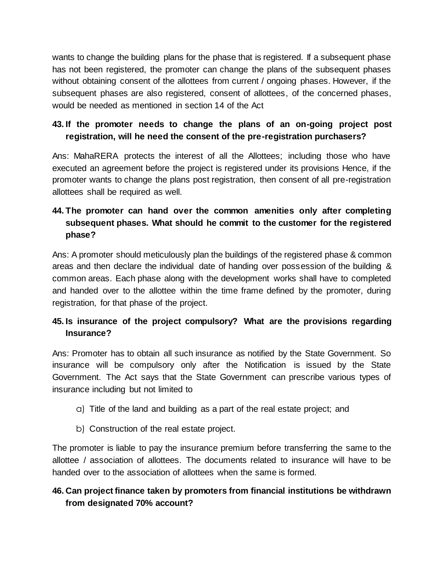wants to change the building plans for the phase that is registered. If a subsequent phase has not been registered, the promoter can change the plans of the subsequent phases without obtaining consent of the allottees from current / ongoing phases. However, if the subsequent phases are also registered, consent of allottees, of the concerned phases, would be needed as mentioned in section 14 of the Act

### **43. If the promoter needs to change the plans of an on-going project post registration, will he need the consent of the pre-registration purchasers?**

Ans: MahaRERA protects the interest of all the Allottees; including those who have executed an agreement before the project is registered under its provisions Hence, if the promoter wants to change the plans post registration, then consent of all pre-registration allottees shall be required as well.

## **44. The promoter can hand over the common amenities only after completing subsequent phases. What should he commit to the customer for the registered phase?**

Ans: A promoter should meticulously plan the buildings of the registered phase & common areas and then declare the individual date of handing over possession of the building & common areas. Each phase along with the development works shall have to completed and handed over to the allottee within the time frame defined by the promoter, during registration, for that phase of the project.

### **45. Is insurance of the project compulsory? What are the provisions regarding Insurance?**

Ans: Promoter has to obtain all such insurance as notified by the State Government. So insurance will be compulsory only after the Notification is issued by the State Government. The Act says that the State Government can prescribe various types of insurance including but not limited to

- a) Title of the land and building as a part of the real estate project; and
- b) Construction of the real estate project.

The promoter is liable to pay the insurance premium before transferring the same to the allottee / association of allottees. The documents related to insurance will have to be handed over to the association of allottees when the same is formed.

### **46. Can project finance taken by promoters from financial institutions be withdrawn from designated 70% account?**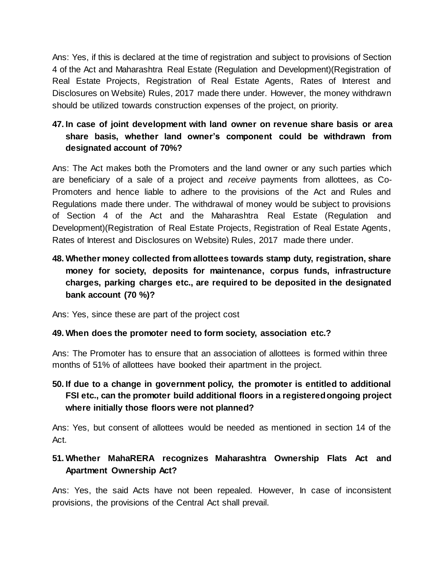Ans: Yes, if this is declared at the time of registration and subject to provisions of Section 4 of the Act and Maharashtra Real Estate (Regulation and Development)(Registration of Real Estate Projects, Registration of Real Estate Agents, Rates of Interest and Disclosures on Website) Rules, 2017 made there under. However, the money withdrawn should be utilized towards construction expenses of the project, on priority.

## **47. In case of joint development with land owner on revenue share basis or area share basis, whether land owner's component could be withdrawn from designated account of 70%?**

Ans: The Act makes both the Promoters and the land owner or any such parties which are beneficiary of a sale of a project and *receive* payments from allottees, as Co-Promoters and hence liable to adhere to the provisions of the Act and Rules and Regulations made there under. The withdrawal of money would be subject to provisions of Section 4 of the Act and the Maharashtra Real Estate (Regulation and Development)(Registration of Real Estate Projects, Registration of Real Estate Agents, Rates of Interest and Disclosures on Website) Rules, 2017 made there under.

## **48. Whether money collected from allottees towards stamp duty, registration, share money for society, deposits for maintenance, corpus funds, infrastructure charges, parking charges etc., are required to be deposited in the designated bank account (70 %)?**

Ans: Yes, since these are part of the project cost

### **49. When does the promoter need to form society, association etc.?**

Ans: The Promoter has to ensure that an association of allottees is formed within three months of 51% of allottees have booked their apartment in the project.

### **50. If due to a change in government policy, the promoter is entitled to additional FSI etc., can the promoter build additional floors in a registered ongoing project where initially those floors were not planned?**

Ans: Yes, but consent of allottees would be needed as mentioned in section 14 of the Act.

### **51. Whether MahaRERA recognizes Maharashtra Ownership Flats Act and Apartment Ownership Act?**

Ans: Yes, the said Acts have not been repealed. However, In case of inconsistent provisions, the provisions of the Central Act shall prevail.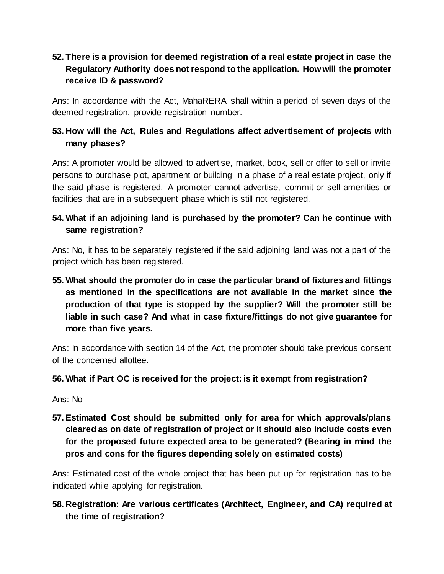## **52. There is a provision for deemed registration of a real estate project in case the Regulatory Authority does not respond to the application. How will the promoter receive ID & password?**

Ans: In accordance with the Act, MahaRERA shall within a period of seven days of the deemed registration, provide registration number.

## **53. How will the Act, Rules and Regulations affect advertisement of projects with many phases?**

Ans: A promoter would be allowed to advertise, market, book, sell or offer to sell or invite persons to purchase plot, apartment or building in a phase of a real estate project, only if the said phase is registered. A promoter cannot advertise, commit or sell amenities or facilities that are in a subsequent phase which is still not registered.

### **54. What if an adjoining land is purchased by the promoter? Can he continue with same registration?**

Ans: No, it has to be separately registered if the said adjoining land was not a part of the project which has been registered.

**55. What should the promoter do in case the particular brand of fixtures and fittings as mentioned in the specifications are not available in the market since the production of that type is stopped by the supplier? Will the promoter still be liable in such case? And what in case fixture/fittings do not give guarantee for more than five years.**

Ans: In accordance with section 14 of the Act, the promoter should take previous consent of the concerned allottee.

### **56. What if Part OC is received for the project: is it exempt from registration?**

Ans: No

**57. Estimated Cost should be submitted only for area for which approvals/plans cleared as on date of registration of project or it should also include costs even for the proposed future expected area to be generated? (Bearing in mind the pros and cons for the figures depending solely on estimated costs)**

Ans: Estimated cost of the whole project that has been put up for registration has to be indicated while applying for registration.

**58. Registration: Are various certificates (Architect, Engineer, and CA) required at the time of registration?**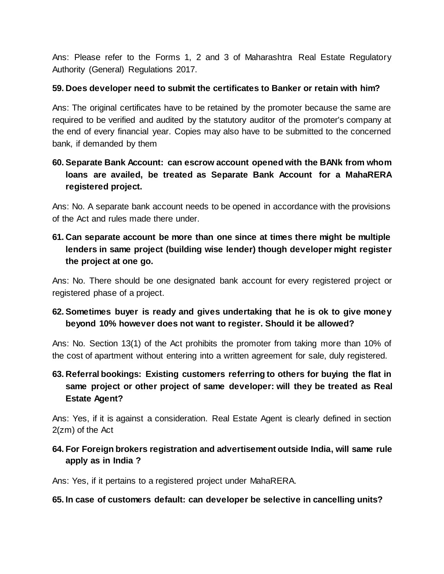Ans: Please refer to the Forms 1, 2 and 3 of Maharashtra Real Estate Regulatory Authority (General) Regulations 2017.

#### **59. Does developer need to submit the certificates to Banker or retain with him?**

Ans: The original certificates have to be retained by the promoter because the same are required to be verified and audited by the statutory auditor of the promoter's company at the end of every financial year. Copies may also have to be submitted to the concerned bank, if demanded by them

## **60. Separate Bank Account: can escrow account opened with the BANk from whom loans are availed, be treated as Separate Bank Account for a MahaRERA registered project.**

Ans: No. A separate bank account needs to be opened in accordance with the provisions of the Act and rules made there under.

## **61. Can separate account be more than one since at times there might be multiple lenders in same project (building wise lender) though developer might register the project at one go.**

Ans: No. There should be one designated bank account for every registered project or registered phase of a project.

### **62. Sometimes buyer is ready and gives undertaking that he is ok to give money beyond 10% however does not want to register. Should it be allowed?**

Ans: No. Section 13(1) of the Act prohibits the promoter from taking more than 10% of the cost of apartment without entering into a written agreement for sale, duly registered.

## **63. Referral bookings: Existing customers referring to others for buying the flat in same project or other project of same developer: will they be treated as Real Estate Agent?**

Ans: Yes, if it is against a consideration. Real Estate Agent is clearly defined in section 2(zm) of the Act

### **64. For Foreign brokers registration and advertisement outside India, will same rule apply as in India ?**

Ans: Yes, if it pertains to a registered project under MahaRERA.

**65. In case of customers default: can developer be selective in cancelling units?**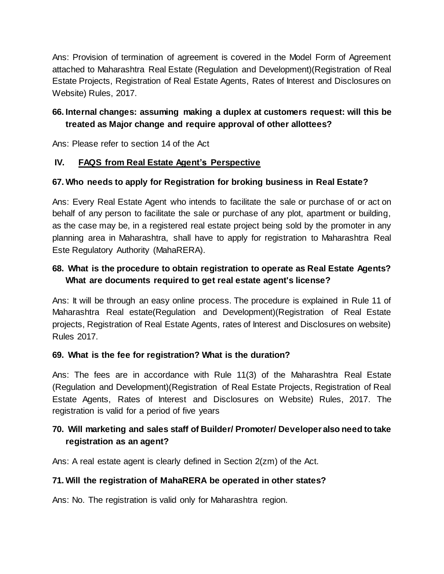Ans: Provision of termination of agreement is covered in the Model Form of Agreement attached to Maharashtra Real Estate (Regulation and Development)(Registration of Real Estate Projects, Registration of Real Estate Agents, Rates of Interest and Disclosures on Website) Rules, 2017.

## **66. Internal changes: assuming making a duplex at customers request: will this be treated as Major change and require approval of other allottees?**

Ans: Please refer to section 14 of the Act

### **IV. FAQS from Real Estate Agent's Perspective**

### **67. Who needs to apply for Registration for broking business in Real Estate?**

Ans: Every Real Estate Agent who intends to facilitate the sale or purchase of or act on behalf of any person to facilitate the sale or purchase of any plot, apartment or building, as the case may be, in a registered real estate project being sold by the promoter in any planning area in Maharashtra, shall have to apply for registration to Maharashtra Real Este Regulatory Authority (MahaRERA).

### **68. What is the procedure to obtain registration to operate as Real Estate Agents? What are documents required to get real estate agent's license?**

Ans: It will be through an easy online process. The procedure is explained in Rule 11 of Maharashtra Real estate(Regulation and Development)(Registration of Real Estate projects, Registration of Real Estate Agents, rates of Interest and Disclosures on website) Rules 2017.

### **69. What is the fee for registration? What is the duration?**

Ans: The fees are in accordance with Rule 11(3) of the Maharashtra Real Estate (Regulation and Development)(Registration of Real Estate Projects, Registration of Real Estate Agents, Rates of Interest and Disclosures on Website) Rules, 2017. The registration is valid for a period of five years

### **70. Will marketing and sales staff of Builder/ Promoter/ Developer also need to take registration as an agent?**

Ans: A real estate agent is clearly defined in Section 2(zm) of the Act.

### **71. Will the registration of MahaRERA be operated in other states?**

Ans: No. The registration is valid only for Maharashtra region.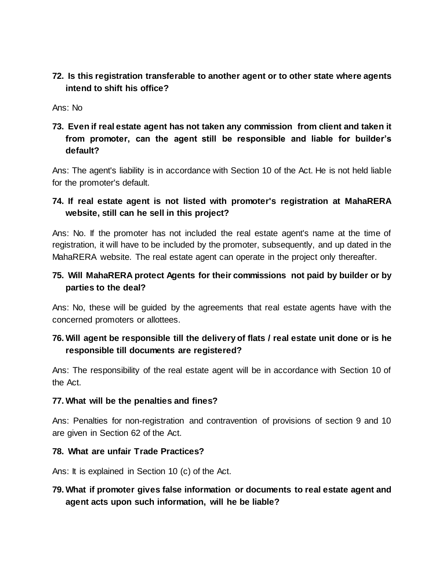**72. Is this registration transferable to another agent or to other state where agents intend to shift his office?**

Ans: No

**73. Even if real estate agent has not taken any commission from client and taken it from promoter, can the agent still be responsible and liable for builder's default?**

Ans: The agent's liability is in accordance with Section 10 of the Act. He is not held liable for the promoter's default.

### **74. If real estate agent is not listed with promoter's registration at MahaRERA website, still can he sell in this project?**

Ans: No. If the promoter has not included the real estate agent's name at the time of registration, it will have to be included by the promoter, subsequently, and up dated in the MahaRERA website. The real estate agent can operate in the project only thereafter.

### **75. Will MahaRERA protect Agents for their commissions not paid by builder or by parties to the deal?**

Ans: No, these will be guided by the agreements that real estate agents have with the concerned promoters or allottees.

### **76. Will agent be responsible till the delivery of flats / real estate unit done or is he responsible till documents are registered?**

Ans: The responsibility of the real estate agent will be in accordance with Section 10 of the Act.

### **77. What will be the penalties and fines?**

Ans: Penalties for non-registration and contravention of provisions of section 9 and 10 are given in Section 62 of the Act.

#### **78. What are unfair Trade Practices?**

Ans: It is explained in Section 10 (c) of the Act.

**79. What if promoter gives false information or documents to real estate agent and agent acts upon such information, will he be liable?**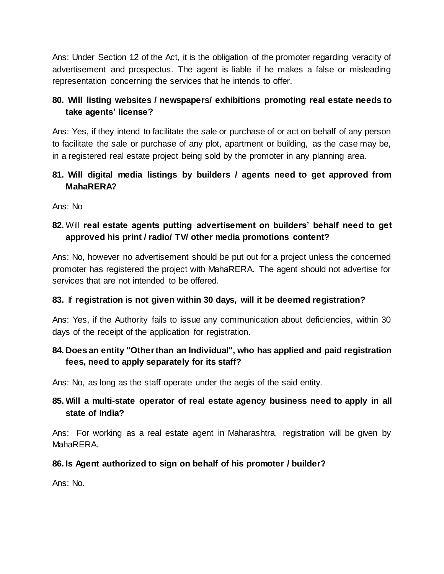Ans: Under Section 12 of the Act, it is the obligation of the promoter regarding veracity of advertisement and prospectus. The agent is liable if he makes a false or misleading representation concerning the services that he intends to offer.

### **80. Will listing websites / newspapers/ exhibitions promoting real estate needs to take agents' license?**

Ans: Yes, if they intend to facilitate the sale or purchase of or act on behalf of any person to facilitate the sale or purchase of any plot, apartment or building, as the case may be, in a registered real estate project being sold by the promoter in any planning area.

### **81. Will digital media listings by builders / agents need to get approved from MahaRERA?**

Ans: No

### **82.** Will **real estate agents putting advertisement on builders' behalf need to get approved his print / radio/ TV/ other media promotions content?**

Ans: No, however no advertisement should be put out for a project unless the concerned promoter has registered the project with MahaRERA. The agent should not advertise for services that are not intended to be offered.

### **83.** If **registration is not given within 30 days, will it be deemed registration?**

Ans: Yes, if the Authority fails to issue any communication about deficiencies, within 30 days of the receipt of the application for registration.

### **84. Does an entity "Other than an Individual", who has applied and paid registration fees, need to apply separately for its staff?**

Ans: No, as long as the staff operate under the aegis of the said entity.

## **85. Will a multi-state operator of real estate agency business need to apply in all state of India?**

Ans: For working as a real estate agent in Maharashtra, registration will be given by MahaRERA.

### **86. Is Agent authorized to sign on behalf of his promoter / builder?**

Ans: No.